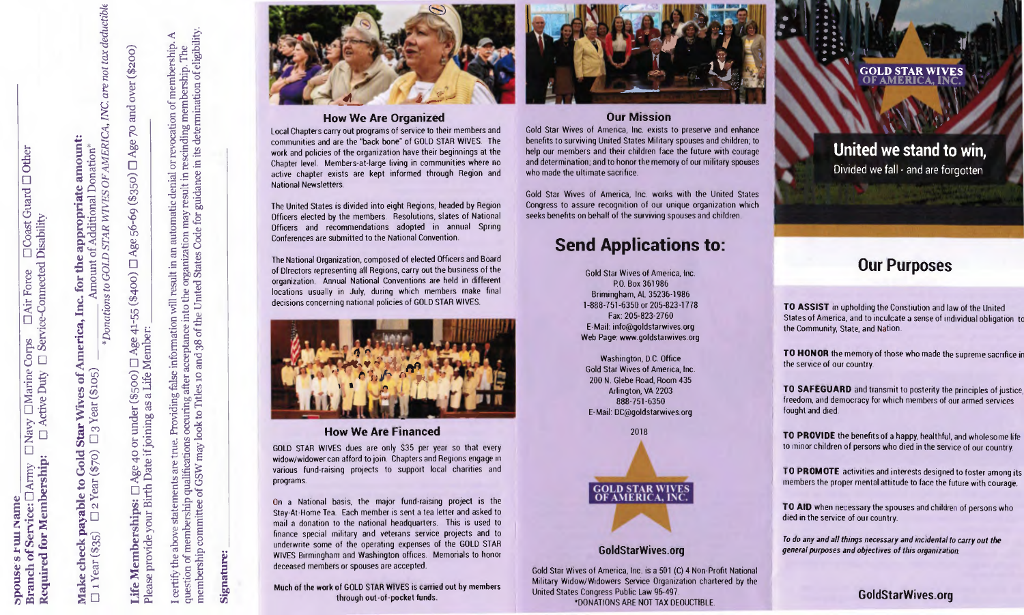$\Box$ 

**Required for Membership:** 

**payable to Gold Star Wives of America, Inc. for the appropriate amount:**<br>  $\bigcup_{n=0}^{\infty} 2 \text{ Year (\$70)}$   $\Box$  3 Year (\$105)  $\Box$  Amount of Additional Donation\* **Coast Gunder**<br>**Intradisability**  $ear($ \$35) check **Make** 

\* Donations to GOLD STAR WTVES OF AMERICA, INC. are not tax deductible

70 and over (\$200) Age:  $\Box$ □ Age 56-69 (\$350) Age 40 or under (\$500) [ Age 41-55 (\$400) Birth Date if joining as a Life Member: Life Memberships: your provide Please

mination of eligibility.  $\triangleleft$ membership. bership. ð mem or revocation rescinding deter its.  $\mathbf{H}$ guidance i Ē. automatic denial may result i Code into the organization<br>he United States Code result in an Providing false information will after acceptance int<br>les 10 and 38 of the nalifications occuring after a<br>GSW may look to Triles 10 are true. membership qualifications statements ಕ membership committee certify the above question of

Signature:



# **How We Are Organized**

Local Chapters carry out programs of service to their members and communities and are the "back bone" of GOLD STAR WIVES. The work and policies of the organization have their beginnings at the Chapter level. Members-at-large living in communities where no active chapter exists are kept informed through Region and National Newsletters.

The United States is divided into eight Regions, headed by Region Officers elected by the members. Resolutions, slates of National Officers and recommendations adopted in annual Spring Conferences are submitted to the National Convention.

The National Organization, composed of elected Officers and Board of Directors representing all Regions, carry out the business of the organization. Annual National Conventions are held in different locations usually in July, during which members make final decisions concerning national policies of GOLD STAR WIVES.



# **How We Are Financed**

GOLD STAR WIVES dues are only \$35 per year so that every widow/widower can afford to join. Chapters and Regions engage in various fund-raising projects to support local charities and programs.

On a National basis, the major fund-raising project is the Stay-At-Home Tea. Each member is sent a tea letter and asked to mail a donation to the national headquarters. This is used to finance special military and veterans service projects and to underwrite some of the operating expenses of the GOLD STAR WIVES Birmingham and Washington offices. Memorials to honor deceased members or spouses are accepted.

#### Much of the work of GOLD STAR WIVES is carried out by members through out-of-pocket funds.



# **Our Mission**

Gold Star Wives of America, Inc. exists to preserve and enhance benefits to surviving United States Military spouses and children, to help our members and their children face the future with courage and determination; and to honor the memory of our military spouses who made the ultimate sacrifice.

Gold Star Wives of America, Inc. works with the United States Congress to assure recognition of our unique organization which seeks benefits on behalf of the surviving spouses and children.

# **Send Applications to:**

Gold Star Wives of America, Inc P.O. Box 361986 Brimingham, AL 35236-1986 1-888-751-6350 or 205-823-1778 Fax: 205-823-2760 E-Mail: info@goldstarwives.org Web Page: www.goldstarwives.org

Washington, D.C. Office Gold Star Wives of America, Inc. 200 N. Glebe Road, Room 435 Arlington, VA 2203 888-751-6350 E-Mail: DC@goldstarwives.org



# **GoldStarWives.org**

Gold Star Wives of America, Inc. is a 501 (C) 4 Non-Profit National Military Widow/Widowers Service Organization chartered by the United States Congress Public Law 95-497.

\*DONATIONS ARE NOT TAX DEDUCTIBLE.

#### **GOLD STAR WIVES OF AMERIC**

**c** 

**United we stand to win,** Divided we fall - and are forgotten

**PIX** 

# **Our Purposes**

**TO ASSIST** in upholding the Constiution and law of the United States of America, and to inculcate a sense of individual obligation to the Community, State, and Nation.

**TO HONOR** the memory of those who made the supreme sacrifice in the service of our country.

**TO SAFEGUARD** and transmit to posterity the principles of justice, freedom, and democracy for which members of our armed services fought and died

**TO PROVIDE** the benefits of a happy, healthful, and wholesome life to minor children of persons who died in the service of our country.

TO **PROMOTE** activities and interests designed to foster among its members the proper mental attitude to face the future with courage.

**TO AID** when necessary the spouses and children of persons who died in the service of our country.

To do any and all things necessary and incidental to carry out the general purposes and objectives of this organization.